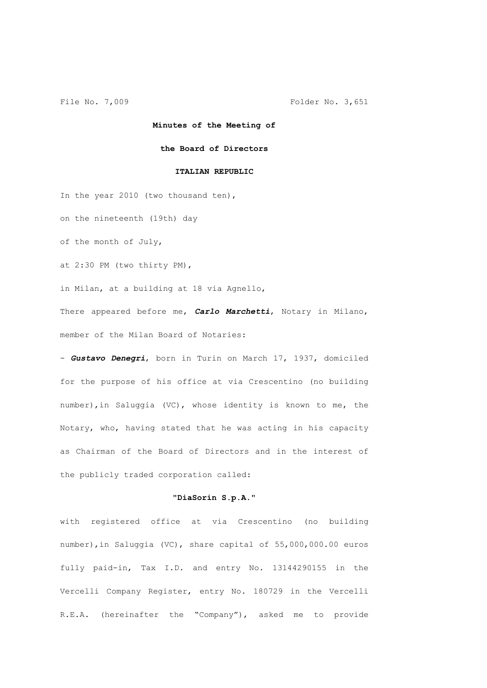## **Minutes of the Meeting of**

### **the Board of Directors**

## **ITALIAN REPUBLIC**

In the year 2010 (two thousand ten),

on the nineteenth (19th) day

of the month of July,

at 2:30 PM (two thirty PM),

in Milan, at a building at 18 via Agnello,

There appeared before me, *Carlo Marchetti*, Notary in Milano, member of the Milan Board of Notaries:

- *Gustavo Denegri*, born in Turin on March 17, 1937, domiciled for the purpose of his office at via Crescentino (no building number),in Saluggia (VC), whose identity is known to me, the Notary, who, having stated that he was acting in his capacity as Chairman of the Board of Directors and in the interest of the publicly traded corporation called:

# **"DiaSorin S.p.A."**

with registered office at via Crescentino (no building number),in Saluggia (VC), share capital of 55,000,000.00 euros fully paid-in, Tax I.D. and entry No. 13144290155 in the Vercelli Company Register, entry No. 180729 in the Vercelli R.E.A. (hereinafter the "Company"), asked me to provide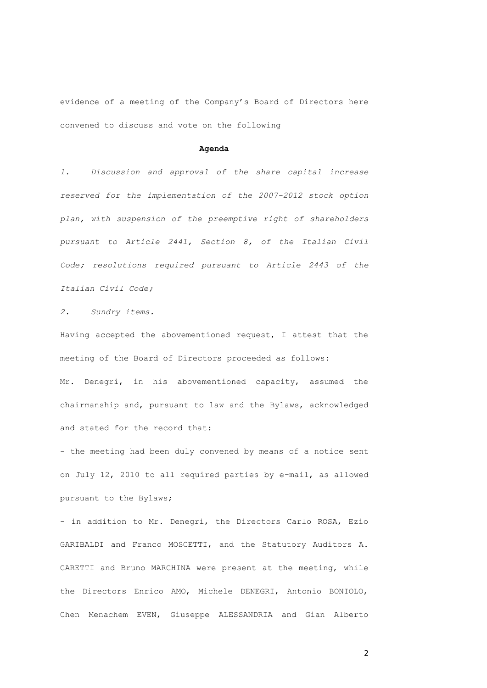evidence of a meeting of the Company's Board of Directors here convened to discuss and vote on the following

#### **Agenda**

*1. Discussion and approval of the share capital increase reserved for the implementation of the 2007-2012 stock option plan, with suspension of the preemptive right of shareholders pursuant to Article 2441, Section 8, of the Italian Civil Code; resolutions required pursuant to Article 2443 of the Italian Civil Code;*

*2. Sundry items.*

Having accepted the abovementioned request, I attest that the meeting of the Board of Directors proceeded as follows: Mr. Denegri, in his abovementioned capacity, assumed the chairmanship and, pursuant to law and the Bylaws, acknowledged and stated for the record that:

- the meeting had been duly convened by means of a notice sent on July 12, 2010 to all required parties by e-mail, as allowed pursuant to the Bylaws;

- in addition to Mr. Denegri, the Directors Carlo ROSA, Ezio GARIBALDI and Franco MOSCETTI, and the Statutory Auditors A. CARETTI and Bruno MARCHINA were present at the meeting, while the Directors Enrico AMO, Michele DENEGRI, Antonio BONIOLO, Chen Menachem EVEN, Giuseppe ALESSANDRIA and Gian Alberto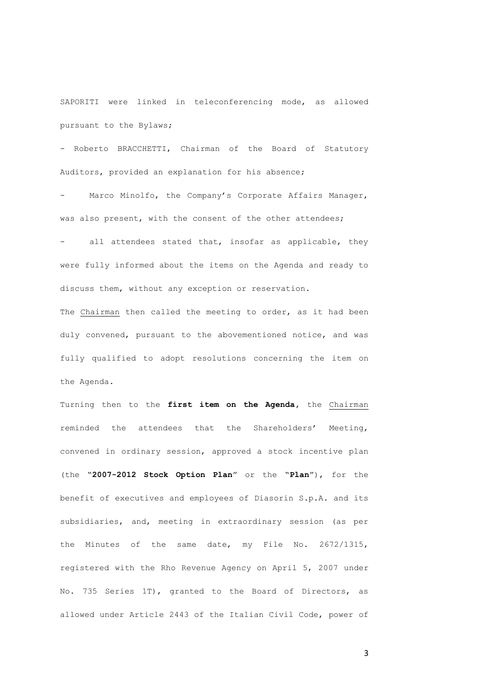SAPORITI were linked in teleconferencing mode, as allowed pursuant to the Bylaws;

- Roberto BRACCHETTI, Chairman of the Board of Statutory Auditors, provided an explanation for his absence;

Marco Minolfo, the Company's Corporate Affairs Manager, was also present, with the consent of the other attendees;

all attendees stated that, insofar as applicable, they were fully informed about the items on the Agenda and ready to discuss them, without any exception or reservation.

The Chairman then called the meeting to order, as it had been duly convened, pursuant to the abovementioned notice, and was fully qualified to adopt resolutions concerning the item on the Agenda.

Turning then to the **first item on the Agenda,** the Chairman reminded the attendees that the Shareholders' Meeting, convened in ordinary session, approved a stock incentive plan (the "**2007-2012 Stock Option Plan**" or the "**Plan**"), for the benefit of executives and employees of Diasorin S.p.A. and its subsidiaries, and, meeting in extraordinary session (as per the Minutes of the same date, my File No. 2672/1315, registered with the Rho Revenue Agency on April 5, 2007 under No. 735 Series 1T), granted to the Board of Directors, as allowed under Article 2443 of the Italian Civil Code, power of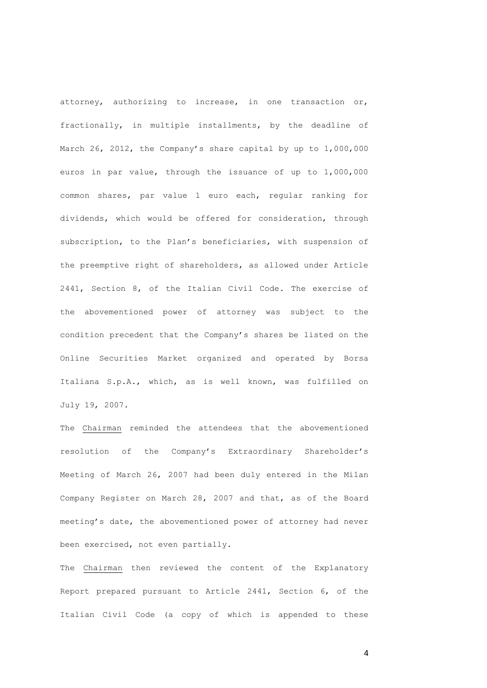attorney, authorizing to increase, in one transaction or, fractionally, in multiple installments, by the deadline of March 26, 2012, the Company's share capital by up to 1,000,000 euros in par value, through the issuance of up to 1,000,000 common shares, par value 1 euro each, regular ranking for dividends, which would be offered for consideration, through subscription, to the Plan's beneficiaries, with suspension of the preemptive right of shareholders, as allowed under Article 2441, Section 8, of the Italian Civil Code. The exercise of the abovementioned power of attorney was subject to the condition precedent that the Company's shares be listed on the Online Securities Market organized and operated by Borsa Italiana S.p.A., which, as is well known, was fulfilled on July 19, 2007.

The Chairman reminded the attendees that the abovementioned resolution of the Company's Extraordinary Shareholder's Meeting of March 26, 2007 had been duly entered in the Milan Company Register on March 28, 2007 and that, as of the Board meeting's date, the abovementioned power of attorney had never been exercised, not even partially.

The Chairman then reviewed the content of the Explanatory Report prepared pursuant to Article 2441, Section 6, of the Italian Civil Code (a copy of which is appended to these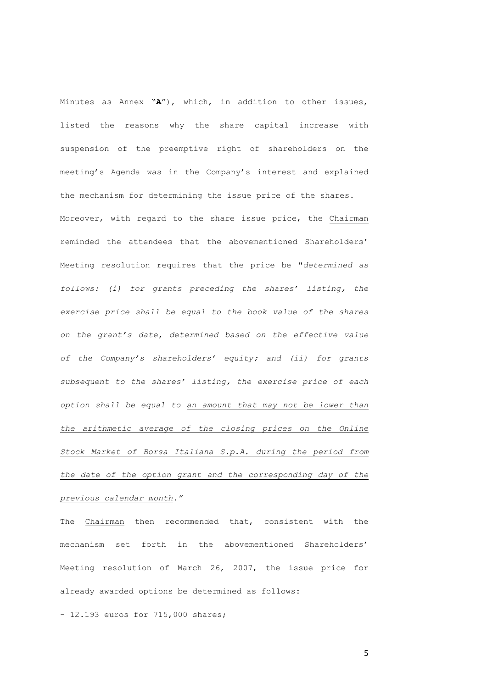Minutes as Annex "**A**"), which, in addition to other issues, listed the reasons why the share capital increase with suspension of the preemptive right of shareholders on the meeting's Agenda was in the Company's interest and explained the mechanism for determining the issue price of the shares. Moreover, with regard to the share issue price, the Chairman reminded the attendees that the abovementioned Shareholders' Meeting resolution requires that the price be "*determined as follows: (i) for grants preceding the shares' listing, the exercise price shall be equal to the book value of the shares on the grant's date, determined based on the effective value of the Company's shareholders' equity; and (ii) for grants subsequent to the shares' listing, the exercise price of each option shall be equal to an amount that may not be lower than the arithmetic average of the closing prices on the Online Stock Market of Borsa Italiana S.p.A. during the period from the date of the option grant and the corresponding day of the previous calendar month."*

The Chairman then recommended that, consistent with the mechanism set forth in the abovementioned Shareholders' Meeting resolution of March 26, 2007, the issue price for already awarded options be determined as follows:

- 12.193 euros for 715,000 shares;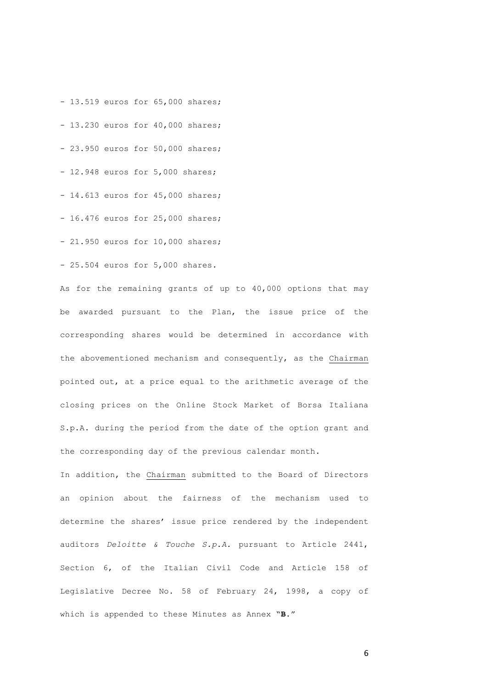- 13.519 euros for 65,000 shares;

- 13.230 euros for 40,000 shares;

- 23.950 euros for 50,000 shares;
- 12.948 euros for 5,000 shares;
- 14.613 euros for 45,000 shares;
- 16.476 euros for 25,000 shares;
- 21.950 euros for 10,000 shares;
- 25.504 euros for 5,000 shares.

As for the remaining grants of up to 40,000 options that may be awarded pursuant to the Plan, the issue price of the corresponding shares would be determined in accordance with the abovementioned mechanism and consequently, as the Chairman pointed out, at a price equal to the arithmetic average of the closing prices on the Online Stock Market of Borsa Italiana S.p.A. during the period from the date of the option grant and the corresponding day of the previous calendar month*.*

In addition, the Chairman submitted to the Board of Directors an opinion about the fairness of the mechanism used to determine the shares' issue price rendered by the independent auditors *Deloitte & Touche S.p.A.* pursuant to Article 2441, Section 6, of the Italian Civil Code and Article 158 of Legislative Decree No. 58 of February 24, 1998, a copy of which is appended to these Minutes as Annex "**B**."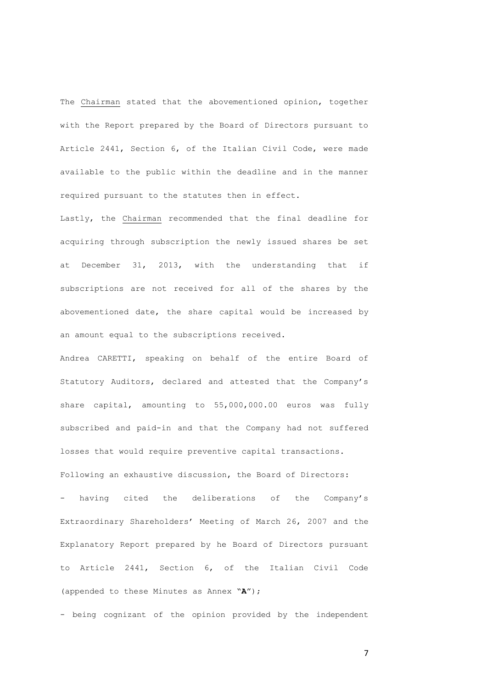The Chairman stated that the abovementioned opinion, together with the Report prepared by the Board of Directors pursuant to Article 2441, Section 6, of the Italian Civil Code, were made available to the public within the deadline and in the manner required pursuant to the statutes then in effect.

Lastly, the Chairman recommended that the final deadline for acquiring through subscription the newly issued shares be set at December 31, 2013, with the understanding that if subscriptions are not received for all of the shares by the abovementioned date, the share capital would be increased by an amount equal to the subscriptions received.

Andrea CARETTI, speaking on behalf of the entire Board of Statutory Auditors, declared and attested that the Company's share capital, amounting to 55,000,000.00 euros was fully subscribed and paid-in and that the Company had not suffered losses that would require preventive capital transactions. Following an exhaustive discussion, the Board of Directors:

- having cited the deliberations of the Company's Extraordinary Shareholders' Meeting of March 26, 2007 and the Explanatory Report prepared by he Board of Directors pursuant to Article 2441, Section 6, of the Italian Civil Code (appended to these Minutes as Annex "**A**");

- being cognizant of the opinion provided by the independent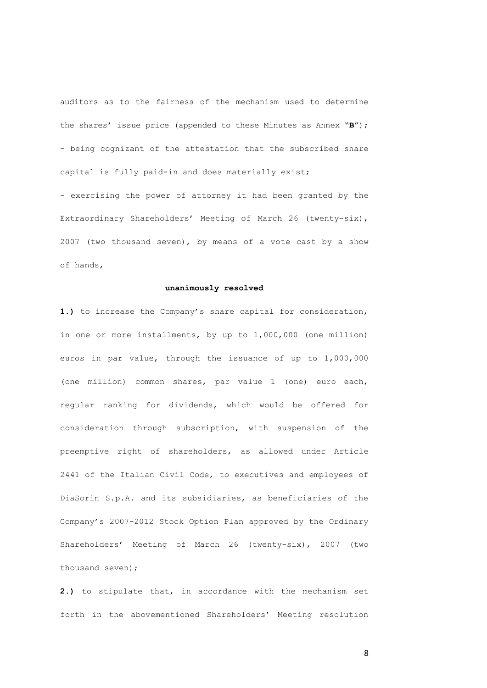auditors as to the fairness of the mechanism used to determine the shares' issue price (appended to these Minutes as Annex "**B**"); - being cognizant of the attestation that the subscribed share capital is fully paid-in and does materially exist;

- exercising the power of attorney it had been granted by the Extraordinary Shareholders' Meeting of March 26 (twenty-six), 2007 (two thousand seven), by means of a vote cast by a show of hands,

## **unanimously resolved**

**1.)** to increase the Company's share capital for consideration, in one or more installments, by up to 1,000,000 (one million) euros in par value, through the issuance of up to 1,000,000 (one million) common shares, par value 1 (one) euro each, regular ranking for dividends, which would be offered for consideration through subscription, with suspension of the preemptive right of shareholders, as allowed under Article 2441 of the Italian Civil Code, to executives and employees of DiaSorin S.p.A. and its subsidiaries, as beneficiaries of the Company's 2007-2012 Stock Option Plan approved by the Ordinary Shareholders' Meeting of March 26 (twenty-six), 2007 (two thousand seven);

**2.)** to stipulate that, in accordance with the mechanism set forth in the abovementioned Shareholders' Meeting resolution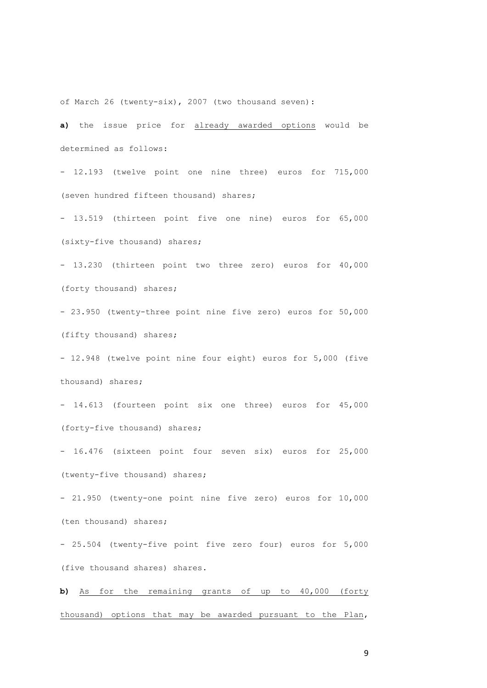of March 26 (twenty-six), 2007 (two thousand seven):

**a)** the issue price for already awarded options would be determined as follows:

- 12.193 (twelve point one nine three) euros for 715,000 (seven hundred fifteen thousand) shares;

- 13.519 (thirteen point five one nine) euros for 65,000 (sixty-five thousand) shares;

- 13.230 (thirteen point two three zero) euros for 40,000 (forty thousand) shares;

- 23.950 (twenty-three point nine five zero) euros for 50,000 (fifty thousand) shares;

- 12.948 (twelve point nine four eight) euros for 5,000 (five thousand) shares;

- 14.613 (fourteen point six one three) euros for 45,000 (forty-five thousand) shares;

- 16.476 (sixteen point four seven six) euros for 25,000 (twenty-five thousand) shares;

- 21.950 (twenty-one point nine five zero) euros for 10,000 (ten thousand) shares;

- 25.504 (twenty-five point five zero four) euros for 5,000 (five thousand shares) shares.

**b)** As for the remaining grants of up to 40,000 (forty thousand) options that may be awarded pursuant to the Plan,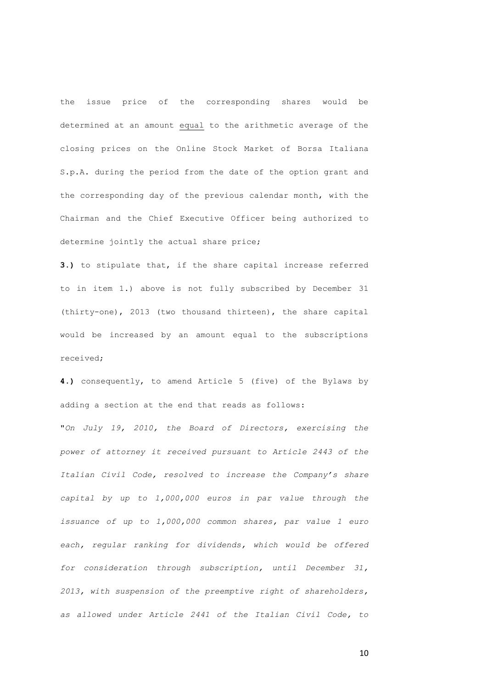the issue price of the corresponding shares would be determined at an amount equal to the arithmetic average of the closing prices on the Online Stock Market of Borsa Italiana S.p.A. during the period from the date of the option grant and the corresponding day of the previous calendar month, with the Chairman and the Chief Executive Officer being authorized to determine jointly the actual share price;

**3.)** to stipulate that, if the share capital increase referred to in item 1.) above is not fully subscribed by December 31 (thirty-one), 2013 (two thousand thirteen), the share capital would be increased by an amount equal to the subscriptions received;

**4.)** consequently, to amend Article 5 (five) of the Bylaws by adding a section at the end that reads as follows: "*On July 19, 2010, the Board of Directors, exercising the power of attorney it received pursuant to Article 2443 of the Italian Civil Code, resolved to increase the Company's share capital by up to 1,000,000 euros in par value through the issuance of up to 1,000,000 common shares, par value 1 euro each, regular ranking for dividends, which would be offered for consideration through subscription, until December 31, 2013, with suspension of the preemptive right of shareholders, as allowed under Article 2441 of the Italian Civil Code, to*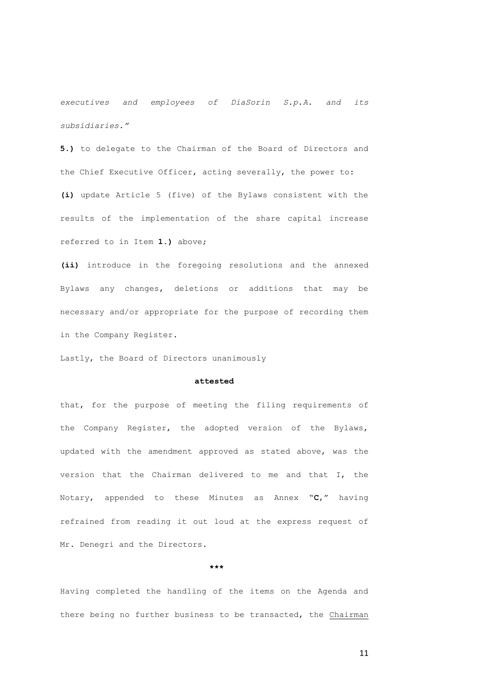*executives and employees of DiaSorin S.p.A. and its subsidiaries."*

**5.)** to delegate to the Chairman of the Board of Directors and the Chief Executive Officer, acting severally, the power to: **(i)** update Article 5 (five) of the Bylaws consistent with the results of the implementation of the share capital increase referred to in Item **1.)** above;

**(ii)** introduce in the foregoing resolutions and the annexed Bylaws any changes, deletions or additions that may be necessary and/or appropriate for the purpose of recording them in the Company Register.

Lastly, the Board of Directors unanimously

# **attested**

that, for the purpose of meeting the filing requirements of the Company Register, the adopted version of the Bylaws, updated with the amendment approved as stated above, was the version that the Chairman delivered to me and that I, the Notary, appended to these Minutes as Annex "**C**," having refrained from reading it out loud at the express request of Mr. Denegri and the Directors.

**\*\*\*** 

Having completed the handling of the items on the Agenda and there being no further business to be transacted, the Chairman